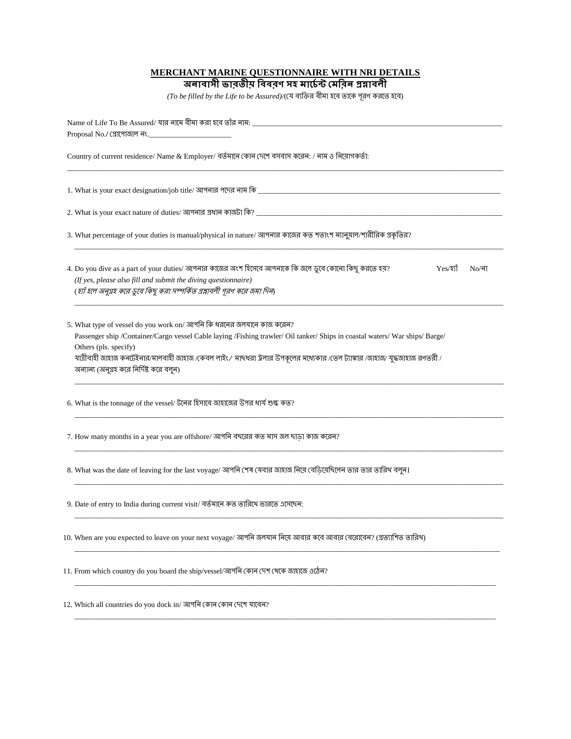## **MERCHANT MARINE QUESTIONNAIRE WITH NRI DETAILS**

<u> অনাবাসী ভাবতীয় বিবরণ সহ মার্চেন্ট মেবিন প্রশ্নাবলী</u>

 $( To \ be \ filled \ by \ the \ Life \ to \ be \ Associated)$ / $($ যে ব্যক্তির বীমা হবে তাকে পূরণ করতে হবে)

| Name of Life To Be Assured/ যার নামে বীমা করা হবে তাঁর নাম: ________                                                                                                                                                                                                                                                                                                                                         |  |  |  |  |
|--------------------------------------------------------------------------------------------------------------------------------------------------------------------------------------------------------------------------------------------------------------------------------------------------------------------------------------------------------------------------------------------------------------|--|--|--|--|
| Proposal No./ (প্ৰাপোজাল নং.___                                                                                                                                                                                                                                                                                                                                                                              |  |  |  |  |
| Country of current residence/ Name & Employer/ বৰ্তমানে কোন দেশে বসবাস করেন: / নাম ও নিযোগকৰ্তা:                                                                                                                                                                                                                                                                                                             |  |  |  |  |
| 1. What is your exact designation/job title/ আপনার পদের নাম কি সাক্ষরতার সাক্ষরতার সাক্ষরতার সাক্ষরতার সাক্ষরত                                                                                                                                                                                                                                                                                               |  |  |  |  |
|                                                                                                                                                                                                                                                                                                                                                                                                              |  |  |  |  |
| 3. What percentage of your duties is manual/physical in nature/ আপনার কাজের কত শতাংশ ম্যানুয়াল/শারীরিক প্রকৃতির?                                                                                                                                                                                                                                                                                            |  |  |  |  |
| 4. Do you dive as a part of your duties/ আপনার কাজের অংশ হিসেবে আপনাকে কি জলে ডুবে কোনো কিছু করতে হয়?<br>$Yes/3$ র্ম<br>$No/\sqrt{a}$<br>(If yes, please also fill and submit the diving questionnaire)<br>(হ্যাঁ হলে অনুগ্রহ করে ডুবে কিছু করা সম্পর্কিত প্রশ্নাবলী পূরণ করে জমা দিন)                                                                                                                      |  |  |  |  |
| 5. What type of vessel do you work on/ আপনি কি ধরনের জলযানে কাজ করেন?<br>Passenger ship /Container/Cargo vessel Cable laying /Fishing trawler/ Oil tanker/ Ships in coastal waters/ War ships/ Barge/<br>Others (pls. specify)<br>যাত্রীবাহী জাহাজ কনটেইনার/মালবাহী জাহাজ /কেবল লাইং / মাছধরা ট্রলার উপকূলের মধ্যেকার /জেল ট্যাঙ্কার /জাহাজ/ যুদ্ধজাহাজ রণভরী /<br>অন্যান্য (অনুগ্রহ করে নির্দিষ্ট করে বলুন) |  |  |  |  |
| 6. What is the tonnage of the vessel/ টলের হিসাবে জাহাজের উপর ধার্য শুল্ক কত?                                                                                                                                                                                                                                                                                                                                |  |  |  |  |
| 7. How many months in a year you are offshore/ আপনি বছরের কত মাস জল ছাড়া কাজ করেন?                                                                                                                                                                                                                                                                                                                          |  |  |  |  |
| 8. What was the date of leaving for the last voyage/ আপনি শেষ যেবার জাহাজ নিয়ে বেডিয়েছিলেন তার তার তারিখ বলুন।                                                                                                                                                                                                                                                                                             |  |  |  |  |
| 9. Date of entry to India during current visit/ বর্তমানে কত তারিখে ভারতে এসেছেন:                                                                                                                                                                                                                                                                                                                             |  |  |  |  |
| 10. When are you expected to leave on your next voyage/ আপনি জলযান নিয়ে আবার কবে আবার বেরোবেন? (প্রত্যাশিত তারিথ)                                                                                                                                                                                                                                                                                           |  |  |  |  |
| 11. From which country do you board the ship/vessel/আপনি কোন দেশ থেকে জাহাজে ওঠেন?                                                                                                                                                                                                                                                                                                                           |  |  |  |  |
| 12. Which all countries do you dock in/ আপনি কোন কোন দেশে যাবেন?                                                                                                                                                                                                                                                                                                                                             |  |  |  |  |
|                                                                                                                                                                                                                                                                                                                                                                                                              |  |  |  |  |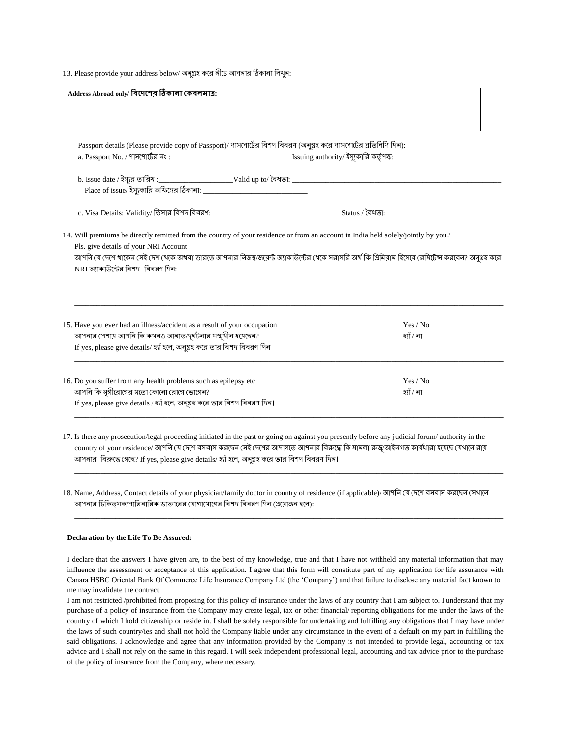13. Please provide your address below/ অনুগ্রহ করে নীচে আপনার ঠিকানা লিথুন:

| Passport details (Please provide copy of Passport)/ পাসপোর্টের বিশদ বিবরণ (অনুগ্রহ করে পাসপোর্টের প্রতিলিপি দিন):                                                                |            |
|----------------------------------------------------------------------------------------------------------------------------------------------------------------------------------|------------|
|                                                                                                                                                                                  |            |
|                                                                                                                                                                                  |            |
|                                                                                                                                                                                  |            |
|                                                                                                                                                                                  |            |
|                                                                                                                                                                                  |            |
| 14. Will premiums be directly remitted from the country of your residence or from an account in India held solely/jointly by you?                                                |            |
|                                                                                                                                                                                  |            |
|                                                                                                                                                                                  |            |
| Pls. give details of your NRI Account                                                                                                                                            |            |
| আপনি যে দেশে থাকেন সেই দেশ থেকে অথবা ভারতে আপনার নিজষ/জমেন্ট অ্যাকাউন্টের থেকে সরাসরি অর্থ কি প্রিমিয়াম হিসেবে রেমিটেন্স করবেন? অনুগ্রহ করে<br>NRI অ্যাকাউন্টের বিশদ বিবরণ দিন: |            |
|                                                                                                                                                                                  |            |
|                                                                                                                                                                                  |            |
|                                                                                                                                                                                  | Yes / No   |
| 15. Have you ever had an illness/accident as a result of your occupation                                                                                                         | হ্যাঁ / না |
| আপনার পেশায় আপনি কি কথনও আঘাত/দুর্ঘটনার সম্মুখীন হয়েছেন?<br>If yes, please give details/ হ্যাঁ হলে, অনুগ্রহ করে তার বিশদ বিবরণ দিন                                             |            |
|                                                                                                                                                                                  |            |
| 16. Do you suffer from any health problems such as epilepsy etc                                                                                                                  | Yes / No   |
| আপনি কি মৃগীরোগের মতো কোনো রোগে ভোগেন?<br>If yes, please give details / হ্যাঁ হলে, অনুগ্ৰহ করে তার বিশদ বিবরণ দিন।                                                               | হ্যাঁ / না |

17. Is there any prosecution/legal proceeding initiated in the past or going on against you presently before any judicial forum/ authority in the country of your residence/ আপনি যে দেশে বসবাস করছেন সেই দেশের আদালতে আপনার বিরুদ্ধে কি মামলা রুজ্যআইনগত কার্যধারা হয়েছে যেথানে রায় আপনার বিরুদ্ধে গেছে? If yes, please give details/ হ্যাঁ হলে, অনুগ্রহ করে তার বিশদ বিবরণ দিন।

\_\_\_\_\_\_\_\_\_\_\_\_\_\_\_\_\_\_\_\_\_\_\_\_\_\_\_\_\_\_\_\_\_\_\_\_\_\_\_\_\_\_\_\_\_\_\_\_\_\_\_\_\_\_\_\_\_\_\_\_\_\_\_\_\_\_\_\_\_\_\_\_\_\_\_\_\_\_\_\_\_\_\_\_\_\_\_\_\_\_\_\_\_\_\_\_\_\_\_\_\_\_\_\_\_\_\_\_\_\_\_\_\_\_\_

\_\_\_\_\_\_\_\_\_\_\_\_\_\_\_\_\_\_\_\_\_\_\_\_\_\_\_\_\_\_\_\_\_\_\_\_\_\_\_\_\_\_\_\_\_\_\_\_\_\_\_\_\_\_\_\_\_\_\_\_\_\_\_\_\_\_\_\_\_\_\_\_\_\_\_\_\_\_\_\_\_\_\_\_\_\_\_\_\_\_\_\_\_\_\_\_\_\_\_\_\_\_\_\_\_\_\_\_\_\_\_\_\_\_\_

18. Name, Address, Contact details of your physician/family doctor in country of residence (if applicable)/ আপনি যে দেশে বসবাস করছেন সেথানে আপনার চিকিত্সক/পারিবারিক ডাক্তারের যোগাযোগের বিশদ বিবরণ দিন (প্রযোজন হলে):

## **Declaration by the Life To Be Assured:**

I declare that the answers I have given are, to the best of my knowledge, true and that I have not withheld any material information that may influence the assessment or acceptance of this application. I agree that this form will constitute part of my application for life assurance with Canara HSBC Oriental Bank Of Commerce Life Insurance Company Ltd (the 'Company') and that failure to disclose any material fact known to me may invalidate the contract

I am not restricted /prohibited from proposing for this policy of insurance under the laws of any country that I am subject to. I understand that my purchase of a policy of insurance from the Company may create legal, tax or other financial/ reporting obligations for me under the laws of the country of which I hold citizenship or reside in. I shall be solely responsible for undertaking and fulfilling any obligations that I may have under the laws of such country/ies and shall not hold the Company liable under any circumstance in the event of a default on my part in fulfilling the said obligations. I acknowledge and agree that any information provided by the Company is not intended to provide legal, accounting or tax advice and I shall not rely on the same in this regard. I will seek independent professional legal, accounting and tax advice prior to the purchase of the policy of insurance from the Company, where necessary.